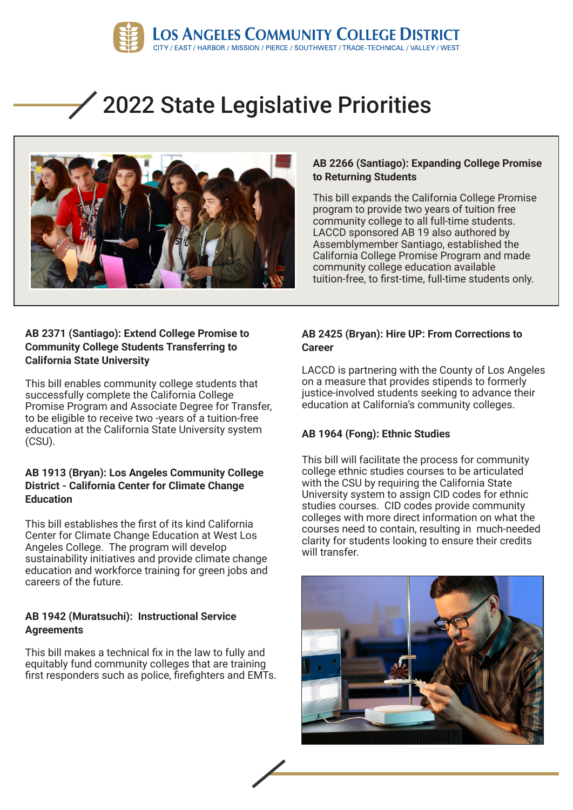

# 2022 State Legislative Priorities



### **AB 2266 (Santiago): Expanding College Promise to Returning Students**

This bill expands the California College Promise program to provide two years of tuition free community college to all full-time students. LACCD sponsored AB 19 also authored by Assemblymember Santiago, established the California College Promise Program and made community college education available tuition-free, to first-time, full-time students only.

#### **AB 2371 (Santiago): Extend College Promise to Community College Students Transferring to California State University**

This bill enables community college students that successfully complete the California College Promise Program and Associate Degree for Transfer, to be eligible to receive two -years of a tuition-free education at the California State University system (CSU).

#### **AB 1913 (Bryan): Los Angeles Community College District - California Center for Climate Change Education**

This bill establishes the first of its kind California Center for Climate Change Education at West Los Angeles College. The program will develop sustainability initiatives and provide climate change education and workforce training for green jobs and careers of the future.

#### **AB 1942 (Muratsuchi): Instructional Service Agreements**

This bill makes a technical fix in the law to fully and equitably fund community colleges that are training first responders such as police, firefighters and EMTs.

#### **AB 2425 (Bryan): Hire UP: From Corrections to Career**

LACCD is partnering with the County of Los Angeles on a measure that provides stipends to formerly justice-involved students seeking to advance their education at California's community colleges.

## **AB 1964 (Fong): Ethnic Studies**

This bill will facilitate the process for community college ethnic studies courses to be articulated with the CSU by requiring the California State University system to assign CID codes for ethnic studies courses. CID codes provide community colleges with more direct information on what the courses need to contain, resulting in much-needed clarity for students looking to ensure their credits will transfer.